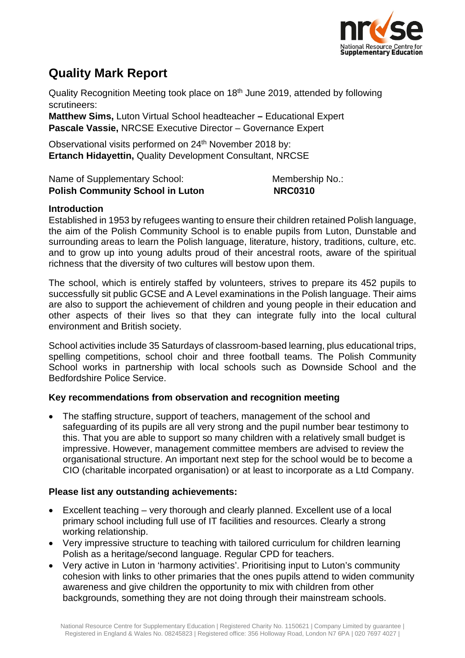

# **Quality Mark Report**

Quality Recognition Meeting took place on 18<sup>th</sup> June 2019, attended by following scrutineers:

**Matthew Sims,** Luton Virtual School headteacher **–** Educational Expert **Pascale Vassie,** NRCSE Executive Director – Governance Expert

Observational visits performed on 24<sup>th</sup> November 2018 by: **Ertanch Hidayettin,** Quality Development Consultant, NRCSE

| Name of Supplementary School:           | Membership No.: |
|-----------------------------------------|-----------------|
| <b>Polish Community School in Luton</b> | <b>NRC0310</b>  |

### **Introduction**

Established in 1953 by refugees wanting to ensure their children retained Polish language, the aim of the Polish Community School is to enable pupils from Luton, Dunstable and surrounding areas to learn the Polish language, literature, history, traditions, culture, etc. and to grow up into young adults proud of their ancestral roots, aware of the spiritual richness that the diversity of two cultures will bestow upon them.

The school, which is entirely staffed by volunteers, strives to prepare its 452 pupils to successfully sit public GCSE and A Level examinations in the Polish language. Their aims are also to support the achievement of children and young people in their education and other aspects of their lives so that they can integrate fully into the local cultural environment and British society.

School activities include 35 Saturdays of classroom-based learning, plus educational trips, spelling competitions, school choir and three football teams. The Polish Community School works in partnership with local schools such as Downside School and the Bedfordshire Police Service.

# **Key recommendations from observation and recognition meeting**

• The staffing structure, support of teachers, management of the school and safeguarding of its pupils are all very strong and the pupil number bear testimony to this. That you are able to support so many children with a relatively small budget is impressive. However, management committee members are advised to review the organisational structure. An important next step for the school would be to become a CIO (charitable incorpated organisation) or at least to incorporate as a Ltd Company.

# **Please list any outstanding achievements:**

- Excellent teaching very thorough and clearly planned. Excellent use of a local primary school including full use of IT facilities and resources. Clearly a strong working relationship.
- Very impressive structure to teaching with tailored curriculum for children learning Polish as a heritage/second language. Regular CPD for teachers.
- Very active in Luton in 'harmony activities'. Prioritising input to Luton's community cohesion with links to other primaries that the ones pupils attend to widen community awareness and give children the opportunity to mix with children from other backgrounds, something they are not doing through their mainstream schools.